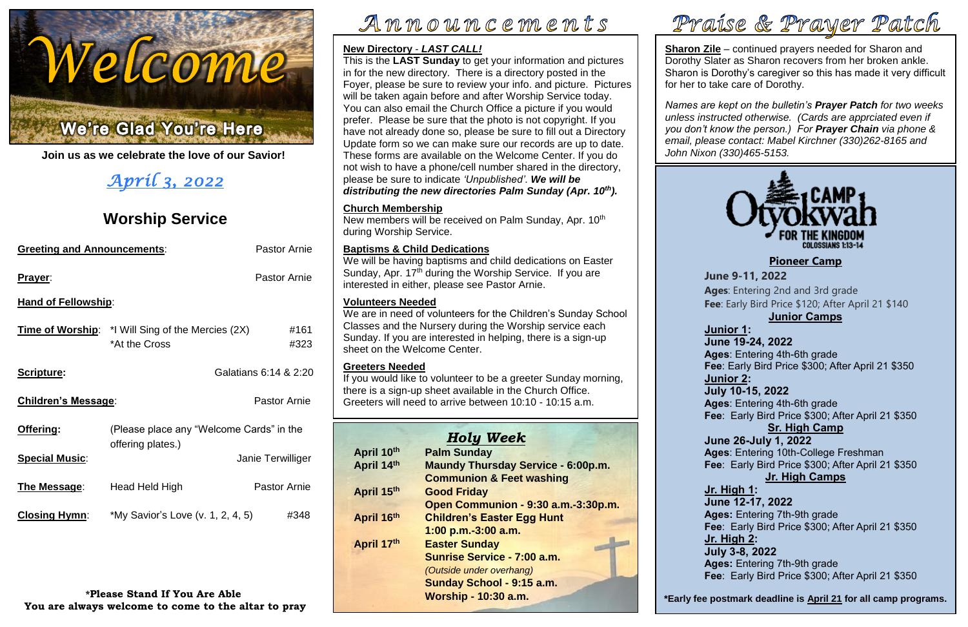

**Join us as we celebrate the love of our Savior!**

# *April 3, 2022*

# **Worship Service**

| <b>Greeting and Announcements:</b> | <b>Pastor Arnie</b>                                                       |                       |  |  |  |  |  |
|------------------------------------|---------------------------------------------------------------------------|-----------------------|--|--|--|--|--|
| Prayer:                            | <b>Pastor Arnie</b>                                                       |                       |  |  |  |  |  |
| <b>Hand of Fellowship:</b>         |                                                                           |                       |  |  |  |  |  |
|                                    | <b>Time of Worship:</b> *I Will Sing of the Mercies (2X)<br>*At the Cross | #161<br>#323          |  |  |  |  |  |
| Scripture:                         |                                                                           | Galatians 6:14 & 2:20 |  |  |  |  |  |
| <b>Children's Message:</b>         | <b>Pastor Arnie</b>                                                       |                       |  |  |  |  |  |
| <u>Offering:</u>                   | (Please place any "Welcome Cards" in the<br>offering plates.)             |                       |  |  |  |  |  |
| <b>Special Music:</b>              |                                                                           | Janie Terwilliger     |  |  |  |  |  |
| <u>The Message:</u>                | Head Held High                                                            | <b>Pastor Arnie</b>   |  |  |  |  |  |
| <b>Closing Hymn:</b>               | *My Savior's Love (v. 1, 2, 4, 5)<br>#348                                 |                       |  |  |  |  |  |

 **Fee**: Early Bird Price \$120; After April 21 \$140 **ges**: Entering 2nd and 3rd grade

**Sharon Zile** – continued prayers needed for Sharon and Dorothy Slater as Sharon recovers from her broken ankle. Sharon is Dorothy's caregiver so this has made it very difficult for her to take care of Dorothy.

**\*Please Stand If You Are Able You are always welcome to come to the altar to pray**

# Announcements



 *Names are kept on the bulletin's Prayer Patch for two weeks unless instructed otherwise. (Cards are apprciated even if you don't know the person.) For Prayer Chain via phone & email, please contact: Mabel Kirchner (330)262-8165 and John Nixon (330)465-5153.*

| Jι                       |
|--------------------------|
|                          |
| A                        |
| F                        |
|                          |
| <u>ال</u>                |
|                          |
| $\overline{\mathsf{J}}$  |
| A                        |
| F                        |
| $\underline{\mathsf{U}}$ |
| $\overline{\mathsf{J}}$  |
|                          |
| A<br>F                   |
|                          |
|                          |
| Jı                       |
| A                        |
| F)                       |
|                          |
|                          |
| <u>ال</u>                |
| $\overline{\mathsf{J}}$  |
| A                        |
|                          |

New members will be received on Palm Sunday, Apr. 10<sup>th</sup> during Worship Service.

#### **New Directory** - *LAST CALL!*

**Ages**: Entering 4tn-otn grade<br>**Fee**: Early Bird Price \$300; After April 21 \$350 **Ages**: Entering 4th-6th grade

This is the **LAST Sunday** to get your information and pictures in for the new directory. There is a directory posted in the Foyer, please be sure to review your info. and picture. Pictures will be taken again before and after Worship Service today. You can also email the Church Office a picture if you would prefer. Please be sure that the photo is not copyright. If you have not already done so, please be sure to fill out a Directory Update form so we can make sure our records are up to date. These forms are available on the Welcome Center. If you do not wish to have a phone/cell number shared in the directory, please be sure to indicate *'Unpublished'*. *We will be distributing the new directories Palm Sunday (Apr. 10th).*

> **Ages:** Entering 7th-9th grade<br>**Fee**: Early Bird Price \$300; After April 21 \$350 **June 12-17, 2022 Ages:** Entering 7th-9th grade **Jr. High 2: July 3-8, 2022**

> **July 3-8, 2022**<br>**Ages:** Entering 7th-9th grade  **Fee**: Early Bird Price \$300; After April 21 \$350

#### **Junior Camps**

 **Ages**: Entering 4th-6th grade  **Fee**: Early Bird Price \$300; After April 21 \$350 **Junior 2: July 10-15, 2022**

#### **Sr. High Camp**

 **Ages**: Entering 10th-College Freshman  **Fee**: Early Bird Price \$300; After April 21 \$350 **June 26-July 1, 2022**

# **Jr. High Camps**

#### **Church Membership**

#### **Baptisms & Child Dedications**

 **\*Early fee postmark deadline is April 21 for all camp programs.**

We will be having baptisms and child dedications on Easter Sunday, Apr.  $17<sup>th</sup>$  during the Worship Service. If you are interested in either, please see Pastor Arnie.

|            | <b>Holy Week</b>                          |
|------------|-------------------------------------------|
| April 10th | <b>Palm Sunday</b>                        |
| April 14th | <b>Maundy Thursday Service - 6:00p.m.</b> |
|            | <b>Communion &amp; Feet washing</b>       |
| April 15th | <b>Good Friday</b>                        |
|            | Open Communion - 9:30 a.m.-3:30p.m.       |
| April 16th | <b>Children's Easter Egg Hunt</b>         |
|            | 1:00 p.m.-3:00 a.m.                       |
| April 17th | <b>Easter Sunday</b>                      |
|            | Sunrise Service - 7:00 a.m.               |
|            | (Outside under overhang)                  |
|            | Sunday School - 9:15 a.m.                 |
|            | <b>Worship - 10:30 a.m.</b>               |



#### **Volunteers Needed**

We are in need of volunteers for the Children's Sunday School Classes and the Nursery during the Worship service each Sunday. If you are interested in helping, there is a sign-up sheet on the Welcome Center.

#### **Greeters Needed**

If you would like to volunteer to be a greeter Sunday morning, there is a sign-up sheet available in the Church Office. Greeters will need to arrive between 10:10 - 10:15 a.m.

**[Pioneer Camp](https://www.otyokwah.org/)**

**June 9-11, 2022**

#### **Junior 1: June 19-24, 2022**

#### **Jr. High 1:**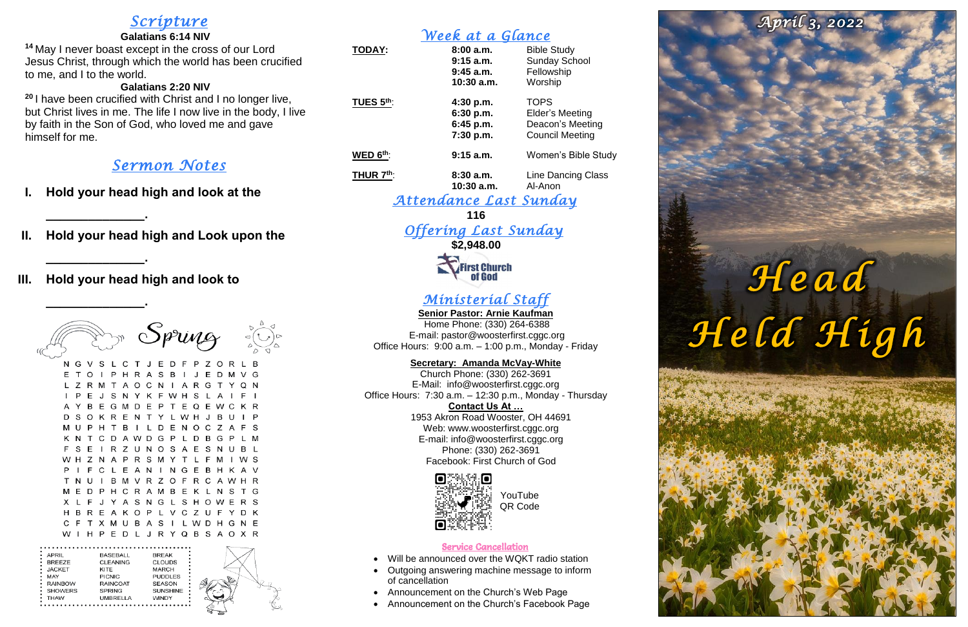# *Scripture*

#### **Galatians 6:14 NIV**

**<sup>14</sup>** May I never boast except in the cross of our Lord Jesus Christ, through which the world has been crucified to me, and I to the world.

#### **Galatians 2:20 NIV**

**<sup>20</sup>** I have been crucified with Christ and I no longer live, but Christ lives in me. The life I now live in the body, I live by faith in the Son of God, who loved me and gave himself for me.

# *Sermon Notes*

**\_\_\_\_\_\_\_\_\_\_\_\_\_\_.**

- **I. Hold your head high and look at the**
- **II. Hold your head high and Look upon the**

*Offering Last Sunday*  **\$2,948.00 First Church** 

**\_\_\_\_\_\_\_\_\_\_\_\_\_\_.**

## **III. Hold your head high and look to**

**\_\_\_\_\_\_\_\_\_\_\_\_\_\_.**

|                                                                                     |   |     |      |                                                                  |   |   |   |                                                           |                                   |         | Spring |              |   |     |    | △<br>₽ | ◁ |
|-------------------------------------------------------------------------------------|---|-----|------|------------------------------------------------------------------|---|---|---|-----------------------------------------------------------|-----------------------------------|---------|--------|--------------|---|-----|----|--------|---|
| N                                                                                   |   | GV. | S    | Ι.                                                               | С | т | J | E                                                         | D                                 | F       | P      | Z            | Ο | R   | Ι. | в      |   |
| Е                                                                                   | т | O   | ı    | Р                                                                | н | R | А | S                                                         | в                                 | ı       | J      | Е            | D | м   | v  | G      |   |
| L                                                                                   | z | R   | м    | т                                                                | А | O | C | N                                                         | ı                                 | А       | R      | G            | т | Y   | O  | N      |   |
| ı                                                                                   | P | F   | J    | S                                                                | N | Y | ĸ | F                                                         | w                                 | н       | S      | L            | А | ı   | F  | ı      |   |
| А                                                                                   | Y | в   | Е    | G                                                                | м | D | E | Р                                                         | т                                 | E       | O      | E            | w | С   | ĸ  | R      |   |
| D                                                                                   | S | O   | ĸ    | R                                                                | E | N | т | Y                                                         | L                                 | w       | н      | $\mathbf{J}$ | в | U   | ı  | Р      |   |
| м                                                                                   | U | P   | н    | т                                                                | в | ı | L | D                                                         | Е                                 | Ν       | О      | C            | Ζ | А   | F  | S      |   |
| ĸ                                                                                   | N | т   | С    | D                                                                | А | w | D | G                                                         | P                                 | L       | D      | в            | G | P   | Ι. | м      |   |
| F                                                                                   | S | F   | ı    | R                                                                | Ζ | U | N | O                                                         | S                                 | А       | Е      | S            | N | U   | в  | L      |   |
| w                                                                                   | н | Z   | N    | А                                                                | P | R | S | м                                                         | Y                                 | т       | L      | F            | м | L   | w  | S      |   |
| P                                                                                   | ı | F   | C    | L                                                                | E | А | N | ı                                                         | N                                 | G       | E      | в            | н | κ   | А  | v      |   |
| т                                                                                   | N | U   | L    | в                                                                | м | v | R | Ζ                                                         | О                                 | F       | R      | С            | A | w   | н  | R      |   |
| м                                                                                   | E | D   | Р    | н                                                                | С | R | A | м                                                         | в                                 | E       | Κ      | L            | N | S   | т  | G      |   |
| х                                                                                   | L | F   | J    | Y                                                                | А | S | N | G                                                         | L                                 | S       | н      | Ο            | w | Е   | R  | S      |   |
| н                                                                                   | в | R   | F    | А                                                                | ĸ | O | P | L                                                         | ν                                 | С       | z      | U            | F | Y   | D  | ĸ      |   |
| C                                                                                   | F | т   | х    | м                                                                | U | В | A | S                                                         | ı                                 | L       | w      | D            | н | G   | N  | Е      |   |
| w                                                                                   | ı | н   | P    | E                                                                | D | L | J |                                                           |                                   | R Y Q B |        | S            |   | A O | x  | R      |   |
| APRIL<br><b>BREEZE</b><br><b>JACKET</b><br>MAY<br><b>RAINBOW</b><br>SHOWERS<br>THAW |   |     | KITE | BASEBALL<br>CLEANING<br>PICNIC<br>RAINCOAT<br>SPRING<br>UMBRELLA |   |   |   | <b>BREAK</b><br>CLOUDS<br>MARCH<br><b>SEASON</b><br>WINDY | <b>PUDDLES</b><br><b>SUNSHINE</b> |         |        |              |   |     |    |        |   |

# *Week at a Glance*

Web: [www.woosterfirst.cggc.org](http://www.woosterfirst.cggc.org/) E-mail: info@woosterfirst.cggc.org Phone: (330) 262-3691 Facebook: First Church of God



| <b>TODAY:</b> | 8:00a.m.<br>$9:15$ a.m.<br>$9:45$ a.m.<br>10:30 a.m. | <b>Bible Study</b><br><b>Sunday School</b><br>Fellowship<br>Worship                 |
|---------------|------------------------------------------------------|-------------------------------------------------------------------------------------|
| TUES 5th:     | 4:30 p.m.<br>6:30 p.m.<br>$6:45$ p.m.<br>7:30 p.m.   | <b>TOPS</b><br><b>Elder's Meeting</b><br>Deacon's Meeting<br><b>Council Meeting</b> |
| WED $6th$ :   | $9:15$ a.m.                                          | Women's Bible Study                                                                 |
| THUR $7th$ :  | 8:30a.m.<br>10:30 a.m.                               | Line Dancing Class<br>Al-Anon                                                       |

### *Attendance Last Sunday*

**116**

# *Ministerial Staff*

**Senior Pastor: Arnie Kaufman** Home Phone: (330) 264-6388 E-mail: [pastor@woosterfirst.cggc.org](mailto:pastor@woosterfirst.cggc.org) Office Hours: 9:00 a.m. – 1:00 p.m., Monday - Friday

#### **Secretary: Amanda McVay-White**

Church Phone: (330) 262-3691 E-Mail: info@woosterfirst.cggc.org Office Hours: 7:30 a.m. – 12:30 p.m., Monday - Thursday **Contact Us At …** 1953 Akron Road Wooster, OH 44691

#### Service Cancellation

- Will be announced over the WQKT radio station
- Outgoing answering machine message to inform of cancellation
- Announcement on the Church's Web Page
- Announcement on the Church's Facebook Page

# Head<br>Held High

April 3, 2022

YouTube QR Code